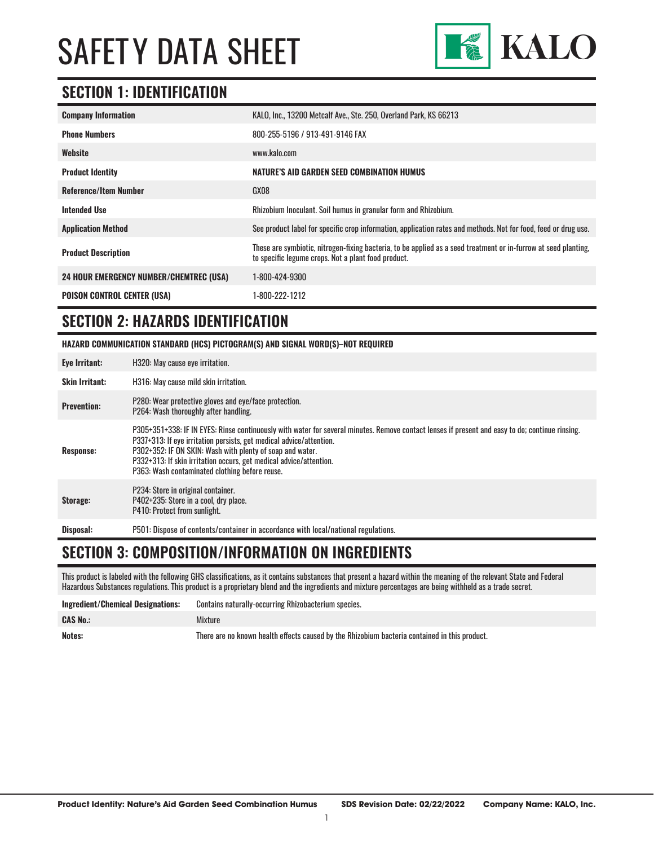# SAFET Y DATA SHEET



## **SECTION 1: IDENTIFICATION**

| <b>Company Information</b>                     | KALO, Inc., 13200 Metcalf Ave., Ste. 250, Overland Park, KS 66213                                                                                                      |
|------------------------------------------------|------------------------------------------------------------------------------------------------------------------------------------------------------------------------|
| <b>Phone Numbers</b>                           | 800-255-5196 / 913-491-9146 FAX                                                                                                                                        |
| Website                                        | www.kalo.com                                                                                                                                                           |
| <b>Product Identity</b>                        | NATURE'S AID GARDEN SEED COMBINATION HUMUS                                                                                                                             |
| <b>Reference/Item Number</b>                   | GX08                                                                                                                                                                   |
| <b>Intended Use</b>                            | Rhizobium Inoculant. Soil humus in granular form and Rhizobium.                                                                                                        |
| <b>Application Method</b>                      | See product label for specific crop information, application rates and methods. Not for food, feed or drug use.                                                        |
| <b>Product Description</b>                     | These are symbiotic, nitrogen-fixing bacteria, to be applied as a seed treatment or in-furrow at seed planting,<br>to specific legume crops. Not a plant food product. |
| <b>24 HOUR EMERGENCY NUMBER/CHEMTREC (USA)</b> | 1-800-424-9300                                                                                                                                                         |
| <b>POISON CONTROL CENTER (USA)</b>             | 1-800-222-1212                                                                                                                                                         |

## **SECTION 2: HAZARDS IDENTIFICATION**

**HAZARD COMMUNICATION STANDARD (HCS) PICTOGRAM(S) AND SIGNAL WORD(S)–NOT REQUIRED**

| Eye Irritant:         | H320: May cause eye irritation.                                                                                                                                                                                                                                                                                                                                                                             |
|-----------------------|-------------------------------------------------------------------------------------------------------------------------------------------------------------------------------------------------------------------------------------------------------------------------------------------------------------------------------------------------------------------------------------------------------------|
| <b>Skin Irritant:</b> | H316: May cause mild skin irritation.                                                                                                                                                                                                                                                                                                                                                                       |
| <b>Prevention:</b>    | P280: Wear protective gloves and eye/face protection.<br>P264: Wash thoroughly after handling.                                                                                                                                                                                                                                                                                                              |
| <b>Response:</b>      | P305+351+338: IF IN EYES: Rinse continuously with water for several minutes. Remove contact lenses if present and easy to do; continue rinsing.<br>P337+313: If eye irritation persists, get medical advice/attention.<br>P302+352: IF ON SKIN: Wash with plenty of soap and water.<br>P332+313: If skin irritation occurs, get medical advice/attention.<br>P363: Wash contaminated clothing before reuse. |
| Storage:              | P234: Store in original container.<br>P402+235: Store in a cool, dry place.<br>P410: Protect from sunlight.                                                                                                                                                                                                                                                                                                 |
| Disposal:             | P501: Dispose of contents/container in accordance with local/national regulations.                                                                                                                                                                                                                                                                                                                          |

### **SECTION 3: COMPOSITION/INFORMATION ON INGREDIENTS**

This product is labeled with the following GHS classifications, as it contains substances that present a hazard within the meaning of the relevant State and Federal Hazardous Substances regulations. This product is a proprietary blend and the ingredients and mixture percentages are being withheld as a trade secret.

| <b>Ingredient/Chemical Designations:</b> | Contains naturally-occurring Rhizobacterium species.                                          |
|------------------------------------------|-----------------------------------------------------------------------------------------------|
| <b>CAS No.:</b>                          | Mixture                                                                                       |
| <b>Notes:</b>                            | There are no known health effects caused by the Rhizobium bacteria contained in this product. |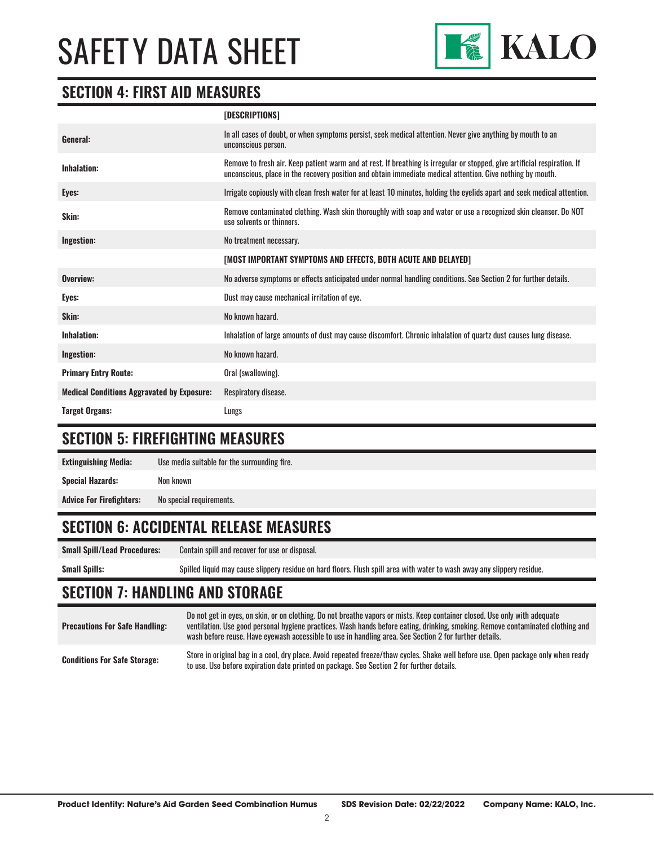

### **SECTION 4: FIRST AID MEASURES**

|                                                   | [DESCRIPTIONS]                                                                                                                                                                                                                          |
|---------------------------------------------------|-----------------------------------------------------------------------------------------------------------------------------------------------------------------------------------------------------------------------------------------|
| General:                                          | In all cases of doubt, or when symptoms persist, seek medical attention. Never give anything by mouth to an<br>unconscious person.                                                                                                      |
| <b>Inhalation:</b>                                | Remove to fresh air. Keep patient warm and at rest. If breathing is irregular or stopped, give artificial respiration. If<br>unconscious, place in the recovery position and obtain immediate medical attention. Give nothing by mouth. |
| Eyes:                                             | Irrigate copiously with clean fresh water for at least 10 minutes, holding the eyelids apart and seek medical attention.                                                                                                                |
| Skin:                                             | Remove contaminated clothing. Wash skin thoroughly with soap and water or use a recognized skin cleanser. Do NOT<br>use solvents or thinners.                                                                                           |
| Ingestion:                                        | No treatment necessary.                                                                                                                                                                                                                 |
|                                                   | [MOST IMPORTANT SYMPTOMS AND EFFECTS, BOTH ACUTE AND DELAYED]                                                                                                                                                                           |
| Overview:                                         | No adverse symptoms or effects anticipated under normal handling conditions. See Section 2 for further details.                                                                                                                         |
| Eyes:                                             | Dust may cause mechanical irritation of eye.                                                                                                                                                                                            |
| Skin:                                             | No known hazard.                                                                                                                                                                                                                        |
| Inhalation:                                       | Inhalation of large amounts of dust may cause discomfort. Chronic inhalation of quartz dust causes lung disease.                                                                                                                        |
| Ingestion:                                        | No known hazard.                                                                                                                                                                                                                        |
| <b>Primary Entry Route:</b>                       | Oral (swallowing).                                                                                                                                                                                                                      |
| <b>Medical Conditions Aggravated by Exposure:</b> | Respiratory disease.                                                                                                                                                                                                                    |
| <b>Target Organs:</b>                             | Lungs                                                                                                                                                                                                                                   |

### **SECTION 5: FIREFIGHTING MEASURES**

| <b>Extinguishing Media:</b>     | Use media suitable for the surrounding fire. |
|---------------------------------|----------------------------------------------|
| <b>Special Hazards:</b>         | Non known                                    |
| <b>Advice For Firefighters:</b> | No special requirements.                     |

## **SECTION 6: ACCIDENTAL RELEASE MEASURES**

**Small Spill/Lead Procedures:** Contain spill and recover for use or disposal.

**Small Spills:** Spilled liquid may cause slippery residue on hard floors. Flush spill area with water to wash away any slippery residue.

#### **SECTION 7: HANDLING AND STORAGE**

**Precautions For Safe Handling:** Do not get in eyes, on skin, or on clothing. Do not breathe vapors or mists. Keep container closed. Use only with adequate ventilation. Use good personal hygiene practices. Wash hands before eating, drinking, smoking. Remove contaminated clothing and wash before reuse. Have eyewash accessible to use in handling area. See Section 2 for further details. **Conditions For Safe Storage:** Store in original bag in a cool, dry place. Avoid repeated freeze/thaw cycles. Shake well before use. Open package only when ready **Conditions For Safe Storage:** See Section 2 for further det to use. Use before expiration date printed on package. See Section 2 for further details.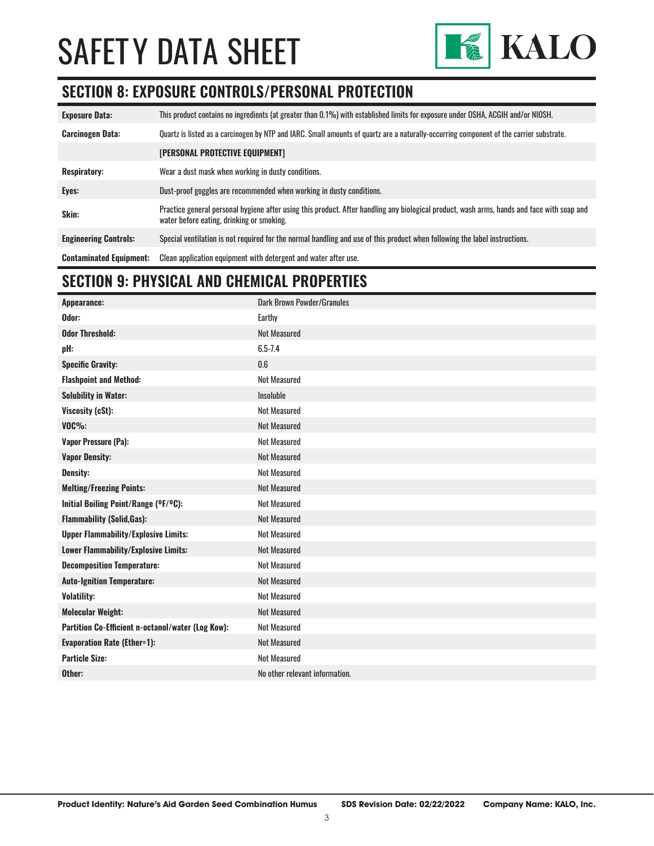# SAFETY DATA SHEET



## **SECTION 8: EXPOSURE CONTROLS/PERSONAL PROTECTION**

| <b>Exposure Data:</b>          | This product contains no ingredients (at greater than 0.1%) with established limits for exposure under OSHA, ACGIH and/or NIOSH.                                                        |
|--------------------------------|-----------------------------------------------------------------------------------------------------------------------------------------------------------------------------------------|
| <b>Carcinogen Data:</b>        | Quartz is listed as a carcinogen by NTP and IARC. Small amounts of quartz are a naturally-occurring component of the carrier substrate.                                                 |
|                                | [PERSONAL PROTECTIVE EQUIPMENT]                                                                                                                                                         |
| <b>Respiratory:</b>            | Wear a dust mask when working in dusty conditions.                                                                                                                                      |
| Eyes:                          | Dust-proof goggles are recommended when working in dusty conditions.                                                                                                                    |
| Skin:                          | Practice general personal hygiene after using this product. After handling any biological product, wash arms, hands and face with soap and<br>water before eating, drinking or smoking. |
| <b>Engineering Controls:</b>   | Special ventilation is not required for the normal handling and use of this product when following the label instructions.                                                              |
| <b>Contaminated Equipment:</b> | Clean application equipment with detergent and water after use.                                                                                                                         |

# **SECTION 9: PHYSICAL AND CHEMICAL PROPERTIES**

| Appearance:                                       | Dark Brown Powder/Granules     |
|---------------------------------------------------|--------------------------------|
| Odor:                                             | Earthy                         |
| <b>Odor Threshold:</b>                            | <b>Not Measured</b>            |
| pH:                                               | $6.5 - 7.4$                    |
| <b>Specific Gravity:</b>                          | 0.6                            |
| <b>Flashpoint and Method:</b>                     | <b>Not Measured</b>            |
| <b>Solubility in Water:</b>                       | Insoluble                      |
| Viscosity (cSt):                                  | <b>Not Measured</b>            |
| $VOC\%$ :                                         | <b>Not Measured</b>            |
| <b>Vapor Pressure (Pa):</b>                       | <b>Not Measured</b>            |
| <b>Vapor Density:</b>                             | <b>Not Measured</b>            |
| <b>Density:</b>                                   | <b>Not Measured</b>            |
| <b>Melting/Freezing Points:</b>                   | <b>Not Measured</b>            |
| Initial Boiling Point/Range (°F/°C):              | <b>Not Measured</b>            |
| <b>Flammability (Solid, Gas):</b>                 | <b>Not Measured</b>            |
| <b>Upper Flammability/Explosive Limits:</b>       | <b>Not Measured</b>            |
| Lower Flammability/Explosive Limits:              | <b>Not Measured</b>            |
| <b>Decomposition Temperature:</b>                 | <b>Not Measured</b>            |
| <b>Auto-Ignition Temperature:</b>                 | <b>Not Measured</b>            |
| <b>Volatility:</b>                                | <b>Not Measured</b>            |
| <b>Molecular Weight:</b>                          | <b>Not Measured</b>            |
| Partition Co-Efficient n-octanol/water (Log Kow): | <b>Not Measured</b>            |
| <b>Evaporation Rate (Ether=1):</b>                | <b>Not Measured</b>            |
| <b>Particle Size:</b>                             | <b>Not Measured</b>            |
| Other:                                            | No other relevant information. |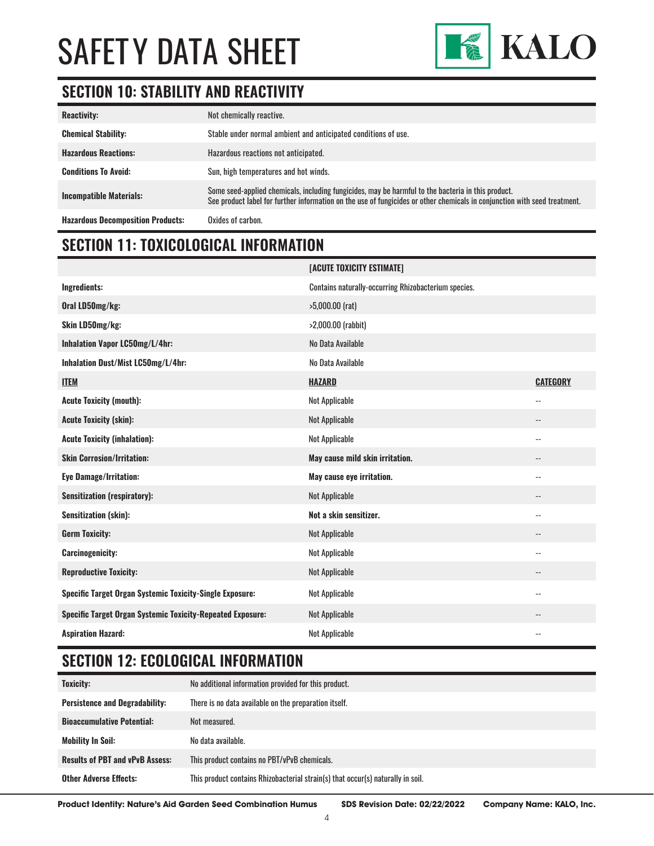# SAFET Y DATA SHEET



## **SECTION 10: STABILITY AND REACTIVITY**

| <b>Reactivity:</b>                       | Not chemically reactive.                                                                                                                                                                                                        |
|------------------------------------------|---------------------------------------------------------------------------------------------------------------------------------------------------------------------------------------------------------------------------------|
| <b>Chemical Stability:</b>               | Stable under normal ambient and anticipated conditions of use.                                                                                                                                                                  |
| <b>Hazardous Reactions:</b>              | Hazardous reactions not anticipated.                                                                                                                                                                                            |
| <b>Conditions To Avoid:</b>              | Sun, high temperatures and hot winds.                                                                                                                                                                                           |
| <b>Incompatible Materials:</b>           | Some seed-applied chemicals, including fungicides, may be harmful to the bacteria in this product.<br>See product label for further information on the use of fungicides or other chemicals in conjunction with seed treatment. |
| <b>Hazardous Decomposition Products:</b> | Oxides of carbon.                                                                                                                                                                                                               |

### **SECTION 11: TOXICOLOGICAL INFORMATION**

|                                                                   | [ACUTE TOXICITY ESTIMATE]                            |                            |
|-------------------------------------------------------------------|------------------------------------------------------|----------------------------|
| Ingredients:                                                      | Contains naturally-occurring Rhizobacterium species. |                            |
| Oral LD50mg/kg:                                                   | $>5,000.00$ (rat)                                    |                            |
| Skin LD50mg/kg:                                                   | >2,000.00 (rabbit)                                   |                            |
| Inhalation Vapor LC50mg/L/4hr:                                    | No Data Available                                    |                            |
| Inhalation Dust/Mist LC50mg/L/4hr:                                | No Data Available                                    |                            |
| <b>ITEM</b>                                                       | <b>HAZARD</b>                                        | <b>CATEGORY</b>            |
| <b>Acute Toxicity (mouth):</b>                                    | <b>Not Applicable</b>                                | $\overline{\phantom{a}}$   |
| <b>Acute Toxicity (skin):</b>                                     | <b>Not Applicable</b>                                | $\overline{\phantom{a}}$   |
| <b>Acute Toxicity (inhalation):</b>                               | <b>Not Applicable</b>                                | $\overline{\phantom{a}}$ . |
|                                                                   |                                                      |                            |
| <b>Skin Corrosion/Irritation:</b>                                 | May cause mild skin irritation.                      |                            |
| <b>Eye Damage/Irritation:</b>                                     | May cause eye irritation.                            | $\overline{\phantom{a}}$   |
| <b>Sensitization (respiratory):</b>                               | <b>Not Applicable</b>                                | $\overline{\phantom{a}}$   |
| Sensitization (skin):                                             | Not a skin sensitizer.                               | $\overline{\phantom{a}}$ . |
| <b>Germ Toxicity:</b>                                             | <b>Not Applicable</b>                                | $\overline{\phantom{a}}$   |
| <b>Carcinogenicity:</b>                                           | <b>Not Applicable</b>                                | $\overline{\phantom{a}}$ . |
| <b>Reproductive Toxicity:</b>                                     | <b>Not Applicable</b>                                | $\qquad \qquad -$          |
| <b>Specific Target Organ Systemic Toxicity-Single Exposure:</b>   | <b>Not Applicable</b>                                | $\overline{\phantom{a}}$ . |
| <b>Specific Target Organ Systemic Toxicity-Repeated Exposure:</b> | <b>Not Applicable</b>                                | $-$                        |

## **SECTION 12: ECOLOGICAL INFORMATION**

| <b>Toxicity:</b>                       | No additional information provided for this product.                            |
|----------------------------------------|---------------------------------------------------------------------------------|
| <b>Persistence and Degradability:</b>  | There is no data available on the preparation itself.                           |
| <b>Bioaccumulative Potential:</b>      | Not measured.                                                                   |
| <b>Mobility In Soil:</b>               | No data available.                                                              |
| <b>Results of PBT and vPvB Assess:</b> | This product contains no PBT/vPvB chemicals.                                    |
| <b>Other Adverse Effects:</b>          | This product contains Rhizobacterial strain(s) that occur(s) naturally in soil. |